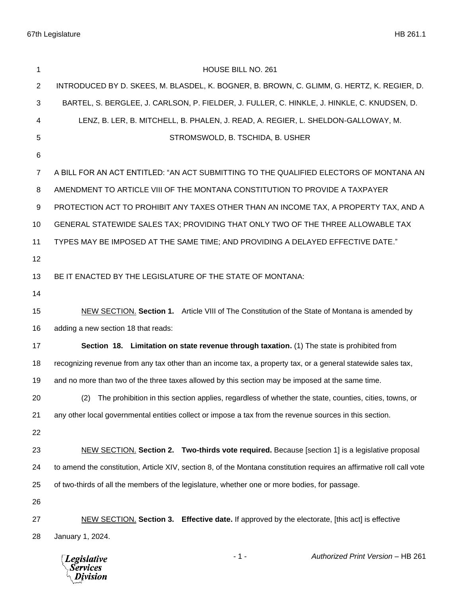| 1  | HOUSE BILL NO. 261                                                                                                    |  |  |
|----|-----------------------------------------------------------------------------------------------------------------------|--|--|
| 2  | INTRODUCED BY D. SKEES, M. BLASDEL, K. BOGNER, B. BROWN, C. GLIMM, G. HERTZ, K. REGIER, D.                            |  |  |
| 3  | BARTEL, S. BERGLEE, J. CARLSON, P. FIELDER, J. FULLER, C. HINKLE, J. HINKLE, C. KNUDSEN, D.                           |  |  |
| 4  | LENZ, B. LER, B. MITCHELL, B. PHALEN, J. READ, A. REGIER, L. SHELDON-GALLOWAY, M.                                     |  |  |
| 5  | STROMSWOLD, B. TSCHIDA, B. USHER                                                                                      |  |  |
| 6  |                                                                                                                       |  |  |
| 7  | A BILL FOR AN ACT ENTITLED: "AN ACT SUBMITTING TO THE QUALIFIED ELECTORS OF MONTANA AN                                |  |  |
| 8  | AMENDMENT TO ARTICLE VIII OF THE MONTANA CONSTITUTION TO PROVIDE A TAXPAYER                                           |  |  |
| 9  | PROTECTION ACT TO PROHIBIT ANY TAXES OTHER THAN AN INCOME TAX, A PROPERTY TAX, AND A                                  |  |  |
| 10 | GENERAL STATEWIDE SALES TAX; PROVIDING THAT ONLY TWO OF THE THREE ALLOWABLE TAX                                       |  |  |
| 11 | TYPES MAY BE IMPOSED AT THE SAME TIME; AND PROVIDING A DELAYED EFFECTIVE DATE."                                       |  |  |
| 12 |                                                                                                                       |  |  |
| 13 | BE IT ENACTED BY THE LEGISLATURE OF THE STATE OF MONTANA:                                                             |  |  |
| 14 |                                                                                                                       |  |  |
| 15 | NEW SECTION. Section 1. Article VIII of The Constitution of the State of Montana is amended by                        |  |  |
| 16 | adding a new section 18 that reads:                                                                                   |  |  |
| 17 | Section 18. Limitation on state revenue through taxation. (1) The state is prohibited from                            |  |  |
| 18 | recognizing revenue from any tax other than an income tax, a property tax, or a general statewide sales tax,          |  |  |
| 19 | and no more than two of the three taxes allowed by this section may be imposed at the same time.                      |  |  |
| 20 | (2) The prohibition in this section applies, regardless of whether the state, counties, cities, towns, or             |  |  |
| 21 | any other local governmental entities collect or impose a tax from the revenue sources in this section.               |  |  |
| 22 |                                                                                                                       |  |  |
| 23 | NEW SECTION. Section 2. Two-thirds vote required. Because [section 1] is a legislative proposal                       |  |  |
| 24 | to amend the constitution, Article XIV, section 8, of the Montana constitution requires an affirmative roll call vote |  |  |
| 25 | of two-thirds of all the members of the legislature, whether one or more bodies, for passage.                         |  |  |
| 26 |                                                                                                                       |  |  |
| 27 | NEW SECTION. Section 3. Effective date. If approved by the electorate, [this act] is effective                        |  |  |
| 28 | January 1, 2024.                                                                                                      |  |  |
|    |                                                                                                                       |  |  |